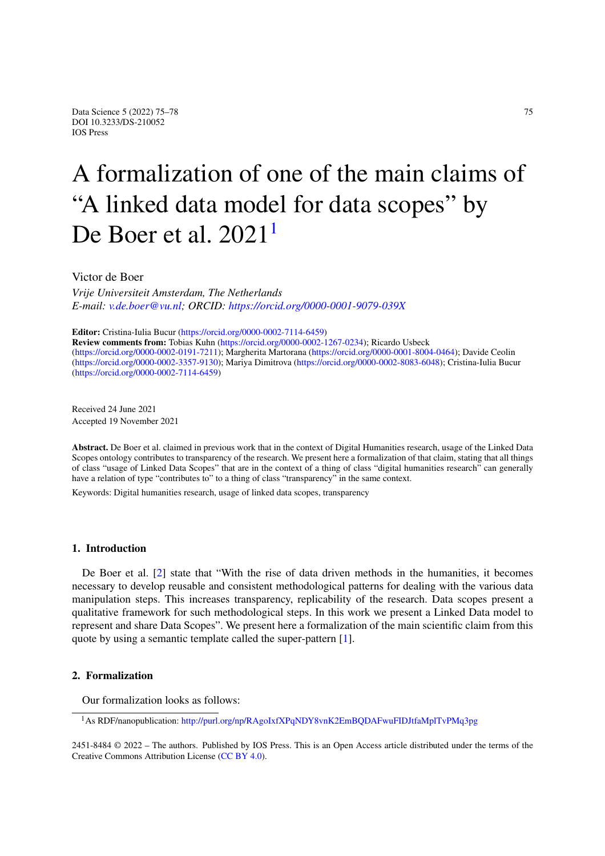# A formalization of one of the main claims of "A linked data mod[e](#page-0-0)l for data scopes" by De Boer et al. 2021<sup>1</sup>

Victor de Boer

*Vrije Universiteit Amsterdam, The Netherlands E-mail: [v.de.boer@vu.nl;](mailto:v.de.boer@vu.nl) ORCID: <https://orcid.org/0000-0001-9079-039X>*

**Editor:** Cristina-Iulia Bucur [\(https://orcid.org/0000-0002-7114-6459\)](https://orcid.org/0000-0002-7114-6459)

**Review comments from:** Tobias Kuhn (<https://orcid.org/0000-0002-1267-0234>); Ricardo Usbeck (<https://orcid.org/0000-0002-0191-7211>); Margherita Martorana (<https://orcid.org/0000-0001-8004-0464>); Davide Ceolin (<https://orcid.org/0000-0002-3357-9130>); Mariya Dimitrova (<https://orcid.org/0000-0002-8083-6048>); Cristina-Iulia Bucur (<https://orcid.org/0000-0002-7114-6459>)

Received 24 June 2021 Accepted 19 November 2021

**Abstract.** De Boer et al. claimed in previous work that in the context of Digital Humanities research, usage of the Linked Data Scopes ontology contributes to transparency of the research. We present here a formalization of that claim, stating that all things of class "usage of Linked Data Scopes" that are in the context of a thing of class "digital humanities research" can generally have a relation of type "contributes to" to a thing of class "transparency" in the same context.

Keywords: Digital humanities research, usage of linked data scopes, transparency

## **1. Introduction**

De Boer et al. [\[2\]](#page-3-0) state that "With the rise of data driven methods in the humanities, it becomes necessary to develop reusable and consistent methodological patterns for dealing with the various data manipulation steps. This increases transparency, replicability of the research. Data scopes present a qualitative framework for such methodological steps. In this work we present a Linked Data model to represent and share Data Scopes". We present here a formalization of the main scientific claim from this quote by using a semantic template called the super-pattern [\[1\]](#page-3-1).

## **2. Formalization**

Our formalization looks as follows:

2451-8484 © 2022 – The authors. Published by IOS Press. This is an Open Access article distributed under the terms of the Creative Commons Attribution License [\(CC BY 4.0](https://creativecommons.org/licenses/by/4.0/)).

<span id="page-0-0"></span><sup>1</sup>As RDF/nanopublication: <http://purl.org/np/RAgoIxfXPqNDY8vnK2EmBQDAFwuFIDJtfaMplTvPMq3pg>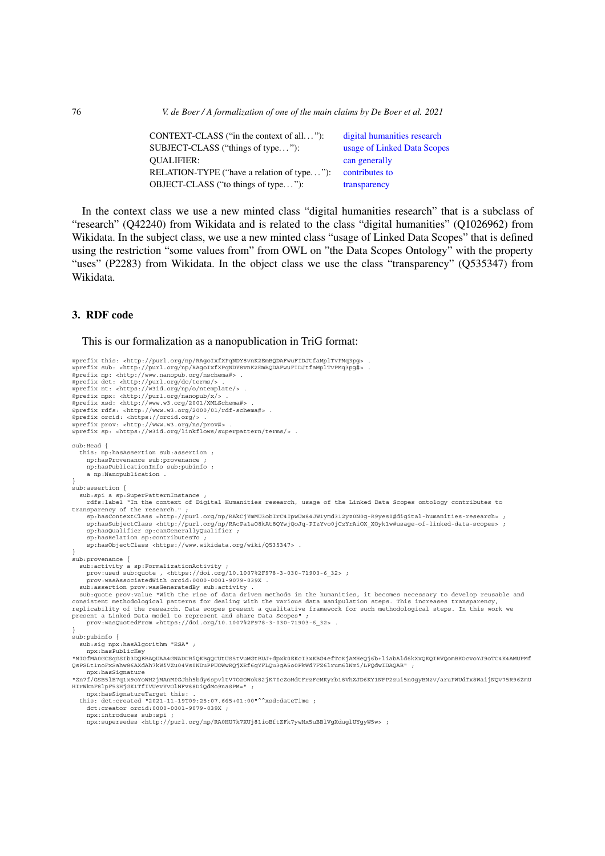76 *V. de Boer / A formalization of one of the main claims by De Boer et al. 2021*

| CONTEXT-CLASS ("in the context of all"):   | digital humanities research |
|--------------------------------------------|-----------------------------|
| SUBJECT-CLASS ("things of type"):          | usage of Linked Data Scopes |
| <b>OUALIFIER:</b>                          | can generally               |
| RELATION-TYPE ("have a relation of type"): | contributes to              |
| OBJECT-CLASS ("to things of type"):        | transparency                |

In the context class we use a new minted class "digital humanities research" that is a subclass of "research" (Q42240) from Wikidata and is related to the class "digital humanities" (Q1026962) from Wikidata. In the subject class, we use a new minted class "usage of Linked Data Scopes" that is defined using the restriction "some values from" from OWL on "the Data Scopes Ontology" with the property "uses" (P2283) from Wikidata. In the object class we use the class "transparency" (Q535347) from Wikidata.

## **3. RDF code**

#### This is our formalization as a nanopublication in TriG format:

```
@prefix this: <http://purl.org/np/RAgoIxfXPqNDY8vnK2EmBQDAFwuFIDJtfaMplTvPMq3pg> .
@prefix sub: <http://purl.org/np/RAgoIxfXPqNDY8vnK2EmBQDAFwuFIDJtfaMplTvPMq3pg#> .<br>@prefix np: <http://www.nanopub.org/nschema#> .
@prefix dct: <http://purl.org/dc/terms/> .
@prefix nt: <https://w3id.org/np/o/ntemplate/> .
@prefix npx: <http://purl.org/nanopub/x/> .
@prefix xsd: <http://www.w3.org/2001/XMLSchema#> .
@prefix rdfs: <http://www.w3.org/2000/01/rdf-schema#> .
@prefix orcid: <https://orcid.org/> .
@prefix prov: <http://www.w3.org/ns/prov#> .
@prefix sp: <https://w3id.org/linkflows/superpattern/terms/> .
sub:Head {
  this: np:hasAssertion sub:assertion ;
     np:hasProvenance sub:provenance ;
     np:hasPublicationInfo sub:pubinfo ;
     a np:Nanopublication .
}
sub:assertion {
sub:spi a sp:SuperPatternInstance ;<br>rdfs:label "In the context of Digital Humanities research, usage of the Linked Data Scopes ontology contributes to<br>transparency of the research." ;<br>sp:hasContextClass <http://purl.org/np
      sp:hasSubjectClass <http://purl.org/np/RAcPa1aO8kAt8QYwjQoJq-PIzYvo0jCzYrAiOX_XOyk1w#usage-of-linked-data-scopes> ;
sp:hasQualifier sp:canGenerallyQualifier ;
      sp:hasRelation sp:contributesTo ;
sp:hasObjectClass <https://www.wikidata.org/wiki/Q535347> .
}
sub:provenance {
   sub:activity a sp:FormalizationActivity ;
prov:used sub:quote , <https://doi.org/10.1007%2F978-3-030-71903-6_32> ;
     prov:wasAssociatedWith orcid:0000-0001-9079-039X .
  sub:assertion prov:wasGeneratedBy sub:activity .
sub:quote prov:value "With the rise of data driven methods in the humanities, it becomes necessary to develop reusable and<br>consistent methodological patterns for dealing with the various data manipulation steps. This incre
present a Linked Data model to represent and share Data Scopes"
    prov:wasQuotedFrom <https://doi.org/10.1007%2F978-3-030-71903-6_32> .
}
sub:pubinfo {
  sub:sig npx:hasAlgorithm "RSA" ;
     npx:hasPublicKey
"MIGfMA0GCSqGSIb3DQEBAQUAA4GNADCBiQKBgQCUtUS5tVuMGtBUJ+dpxk0EKcI3xKBG4efTcKjAMHeQj6b+liabAld6kXxQKQIRVQomBKOcvoYJ9oTC4K4AMUPMf
QsPSLt1noFxSahw86AXdAh7kWiVZu04Vs0NDuPPUOWwRQjXRf6gYFLQu3gA5o0PkWd7FZ6lrum6lNmi/LFQdwIDAQAB" ;
npx:hasSignature
"Zn7f/GSB5lE7q1x9oYoWH2jMAnMIGJhh5bdy6spvltV7O2OWok82jK7IcZoHdtFrzFcMKyrb18VhXJD6KY1NFP2zui5n0gyBNzv/aruPWUdTx8WaijNQv75R96ZmU
HIrWknF8lpF53HjGK1TfIVUevYvOlNFv88DiQdMo9naSPM=" ;
     npx:hasSignatureTarget this: .
   this: dct:created "2021-11-19T09:25:07.665+01:00"^^xsd:dateTime ;
dct:creator orcid:0000-0001-9079-039X ;
      npx:introduces sub:spi ;
npx:supersedes <http://purl.org/np/RA0HU7k7XUj81ioBftZFk7ywHx5uBBlVgXduglUYgyW5w> ;
```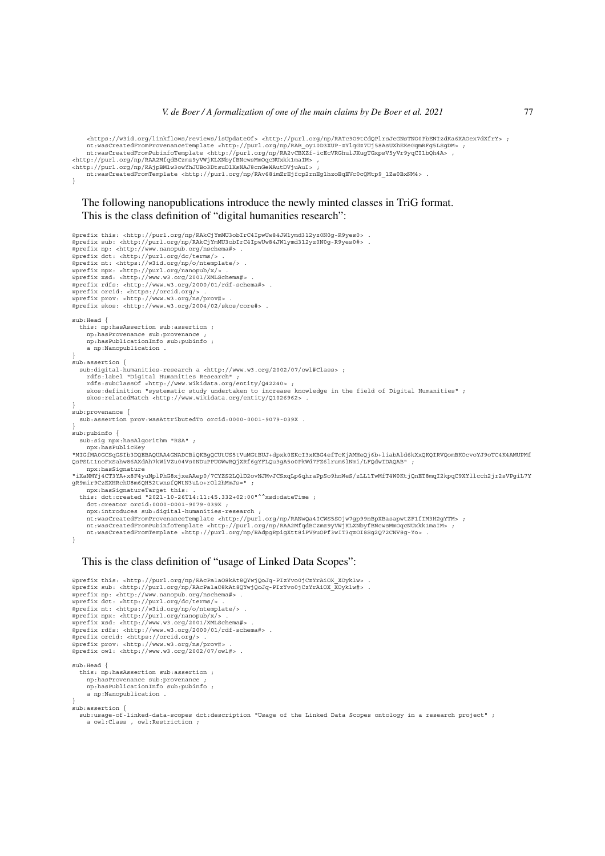<https://w3id.org/linkflows/reviews/isUpdateOf> <http://purl.org/np/RATc9O9tCdQPlrsJeGNsTNO0PbENIzdKa6XAOex7dXfrY> ;

```
nt:wasCreatedFromProvenanceTemplate <http://purl.org/np/RAB_oy10D3XUP-zYlqGz7Uj58AsUXhEKeGqmRFg5LSgDM> ;
nt:wasCreatedFromPubinfoTemplate <http://purl.org/np/RA2vCBXZf-icEcVRGhulJXugTGxpsV5yVr9yqCI1bQh4A> ,
<http://purl.org/np/RAA2MfqdBCzmz9yVWjKLXNbyfBNcwsMmOqcNUxkk1maIM> ,
<http://purl.org/np/RAjpBMlw3owYhJUBo3DtsuDlXsNAJ8cnGeWAutDVjuAuI> ;
nt:wasCreatedFromTemplate <http://purl.org/np/RAv68imZrEjfcp2rnEg1hzoBqEVc0cQMtp9_1Za0BxNM4> .
}
   The following nanopublications introduce the newly minted classes in TriG format.
   This is the class definition of "digital humanities research":
@prefix this: <http://purl.org/np/RAkCjYmMU3obIrC4IpwUw84JW1ymd312yz0N0g-R9yes0> .
@prefix sub: <http://purl.org/np/RAkCjYmMU3obIrC4IpwUw84JW1ymd312yz0N0g-R9yes0#> .<br>@prefix np: <http://www.nanopub.org/nschema#> .
@prefix dct: <http://purl.org/dc/terms/> .
@prefix nt: <https://w3id.org/np/o/ntemplate/> .
@prefix npx: <http://purl.org/nanopub/x/> .
@prefix xsd: <http://www.w3.org/2001/XMLSchema#> .
@prefix rdfs: <http://www.w3.org/2000/01/rdf-schema#> .
@prefix orcid: <https://orcid.org/> .
@prefix prov: <http://www.w3.org/ns/prov#> .
@prefix skos: <http://www.w3.org/2004/02/skos/core#> .
sub:Head {
   this: np:hasAssertion sub:assertion ;
np:hasProvenance sub:provenance ;
     np:hasPublicationInfo sub:pubinfo ;
     a np:Nanopublication .
}
sub:assertion {
  sub:digital-humanities-research a <http://www.w3.org/2002/07/owl#Class> ;
     rdfs:label "Digital Humanities Research" ;
     rdfs:subClassOf <http://www.wikidata.org/entity/Q42240> ;<br>skos:definition "systematic study undertaken to increase knowledge in the field of Digital Humanities" ;
     skos:relatedMatch <http://www.wikidata.org/entity/Q1026962> .
}
sub:provenance {
  sub:assertion prov:wasAttributedTo orcid:0000-0001-9079-039X .
}
sub:pubinfo {
  sub:sig npx:hasAlgorithm "RSA" ;
npx:hasPublicKey
"MIGfMA0GCSqGSIb3DQEBAQUAA4GNADCBiQKBgQCUtUS5tVuMGtBUJ+dpxk0EKcI3xKBG4efTcKjAMHeQj6b+liabAld6kXxQKQIRVQomBKOcvoYJ9oTC4K4AMUPMf
QsPSLt1noFxSahw86AXdAh7kWiVZu04Vs0NDuPPUOWwRQjXRf6gYFLQu3gA5o0PkWd7FZ6lrum6lNmi/LFQdwIDAQAB" ;
     npx:hasSignature
"iXaNMYj4CT3YA+x8F4yuNplPhG8xjxeAAep0/7CYZS2LQlD2ovNJMvJCSxqLp6qhraPpSo9hnWeS/zLL1TwMfT4W0KtjQnET8mqI2kpqC9XYllcch2jr2sVPgiL7Y<br>qR9mir9CzEXHRchU8m6QH52twnsfQWtN3uLo+rOl2hMmJs=" ;
   npx:hasSignatureTarget this: .
this: dct:created "2021-10-26T14:11:45.332+02:00"^^xsd:dateTime ;
     dct:creator orcid:0000-0001-9079-039X ;
     npx:introduces sub:digital-humanities-research ;
     nt:wasCreatedFromProvenanceTemplate <http://purl.org/np/RANwQa4ICWS5SOjw7gp99nBpXBasapwtZF1fIM3H2gYTM> ;
nt:wasCreatedFromPubinfoTemplate <http://purl.org/np/RAA2MfqdBCzmz9yVWjKLXNbyfBNcwsMmOqcNUxkk1maIM> ;
     nt:wasCreatedFromTemplate <http://purl.org/np/RAdpgRpigXtt8iPV9uOPf3wIT3qzOI8Sg2Q72CNV8g-Yo> .
}
```
### This is the class definition of "usage of Linked Data Scopes":

@prefix this: <http://purl.org/np/RAcPa1aO8kAt8QYwjQoJq-PIzYvo0jCzYrAiOX\_XOyk1w> .<br>@prefix sub: <http://purl.org/np/RAcPa1aO8kAt8QYwjQoJq-PIzYvo0jCzYrAiOX\_XOyk1w#> . @prefix np: <http://www.nanopub.org/nschema#> . @prefix dct: <http://purl.org/dc/terms/> . @prefix nt: <https://w3id.org/np/o/ntemplate/> . @prefix npx: <http://purl.org/nanopub/x/> . @prefix xsd: <http://www.w3.org/2001/XMLSchema#> . @prefix rdfs: <http://www.w3.org/2000/01/rdf-schema#> . @prefix orcid: <https://orcid.org/> . @prefix prov: <http://www.w3.org/ns/prov#> . @prefix owl: <http://www.w3.org/2002/07/owl#> . sub:Head { this: np:hasAssertion sub:assertion ; np:hasProvenance sub:provenance ; np:hasPublicationInfo sub:pubinfo ; a np:Nanopublication . } sub:assertion {

sub:usage-of-linked-data-scopes dct:description "Usage of the Linked Data Scopes ontology in a research project" ; a owl:Class , owl:Restriction ;